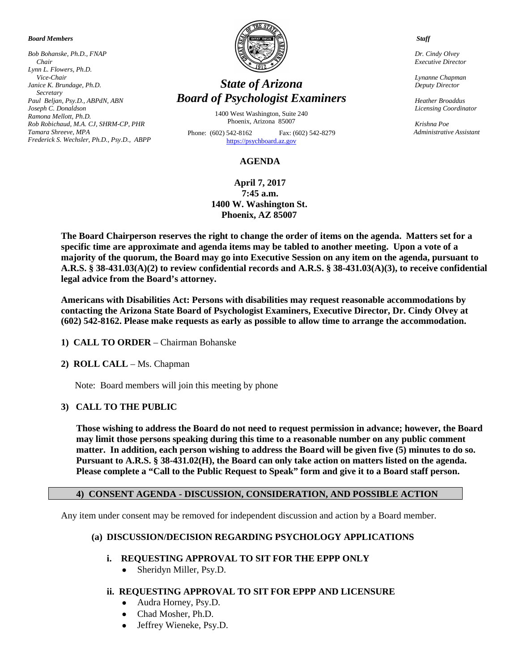*Board Members*

*Bob Bohanske, Ph.D., FNAP Chair Lynn L. Flowers, Ph.D. Vice-Chair Janice K. Brundage, Ph.D. Secretary Paul Beljan, Psy.D., ABPdN, ABN Joseph C. Donaldson Ramona Mellott, Ph.D. Rob Robichaud, M.A. CJ, SHRM-CP, PHR Tamara Shreeve, MPA Frederick S. Wechsler, Ph.D., Psy.D., ABPP* 



# *State of Arizona Board of Psychologist Examiners*

1400 West Washington, Suite 240 Phoenix, Arizona 85007

Phone: (602) 542-8162 Fax: (602) 542-8279 [https://psychboard.az.gov](https://psychboard.az.gov/) 

#### **AGENDA**

**April 7, 2017 7:45 a.m. 1400 W. Washington St. Phoenix, AZ 85007**

**The Board Chairperson reserves the right to change the order of items on the agenda. Matters set for a specific time are approximate and agenda items may be tabled to another meeting. Upon a vote of a majority of the quorum, the Board may go into Executive Session on any item on the agenda, pursuant to A.R.S. § 38-431.03(A)(2) to review confidential records and A.R.S. § 38-431.03(A)(3), to receive confidential legal advice from the Board's attorney.**

**Americans with Disabilities Act: Persons with disabilities may request reasonable accommodations by contacting the Arizona State Board of Psychologist Examiners, Executive Director, Dr. Cindy Olvey at (602) 542-8162. Please make requests as early as possible to allow time to arrange the accommodation.**

- **1) CALL TO ORDER** Chairman Bohanske
- **2) ROLL CALL** Ms. Chapman

Note: Board members will join this meeting by phone

#### **3) CALL TO THE PUBLIC**

**Those wishing to address the Board do not need to request permission in advance; however, the Board may limit those persons speaking during this time to a reasonable number on any public comment matter. In addition, each person wishing to address the Board will be given five (5) minutes to do so. Pursuant to A.R.S. § 38-431.02(H), the Board can only take action on matters listed on the agenda. Please complete a "Call to the Public Request to Speak" form and give it to a Board staff person.**

#### **4) CONSENT AGENDA - DISCUSSION, CONSIDERATION, AND POSSIBLE ACTION**

Any item under consent may be removed for independent discussion and action by a Board member.

#### **(a) DISCUSSION/DECISION REGARDING PSYCHOLOGY APPLICATIONS**

- **i. REQUESTING APPROVAL TO SIT FOR THE EPPP ONLY**
	- Sheridyn Miller, Psy.D.
- **ii. REQUESTING APPROVAL TO SIT FOR EPPP AND LICENSURE**
	- Audra Horney, Psy.D.
	- Chad Mosher, Ph.D.
	- Jeffrey Wieneke, Psy.D.

 *Staff*

 *Dr. Cindy Olvey Executive Director*

 *Lynanne Chapman Deputy Director*

 *Heather Broaddus Licensing Coordinator* 

 *Krishna Poe Administrative Assistant*